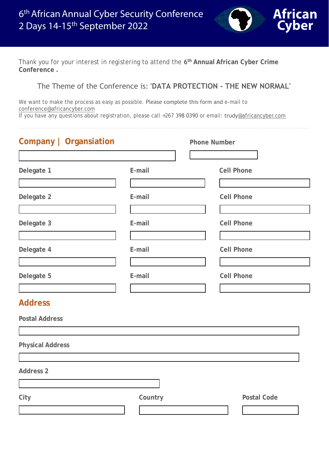

Thank you for your interest in registering to attend the **6 th Annual [African Cyber Crime](http://www.africancyber.com/conference2017.html)  [Conference](http://www.africancyber.com/conference2017.html) .** 

## The Theme of the Conference is: **'DATA PROTECTION - THE NEW NORMAL'**

We want to make the process as easy as possible. Please complete this form and e-mail to [conference@africancyber.com](mailto:conference@africancyber.com) 

If yo[u have any ques](mailto:louisa@africancyber.com)tions about registration, please call +267 398 0390 or email: trudy@africancyb[er.com](mailto:louisa@africancyber.com)

| Company   Organsiation  |         | <b>Phone Number</b> |
|-------------------------|---------|---------------------|
|                         |         |                     |
| Delegate 1              | E-mail  | <b>Cell Phone</b>   |
|                         |         |                     |
| Delegate 2              | E-mail  | <b>Cell Phone</b>   |
|                         |         |                     |
| Delegate 3              | E-mail  | <b>Cell Phone</b>   |
|                         |         |                     |
| Delegate 4              | E-mail  | <b>Cell Phone</b>   |
|                         |         |                     |
| Delegate 5              | E-mail  | <b>Cell Phone</b>   |
|                         |         |                     |
| <b>Address</b>          |         |                     |
| <b>Postal Address</b>   |         |                     |
|                         |         |                     |
| <b>Physical Address</b> |         |                     |
|                         |         |                     |
| <b>Address 2</b>        |         |                     |
|                         |         |                     |
| City                    | Country | <b>Postal Code</b>  |
|                         |         |                     |